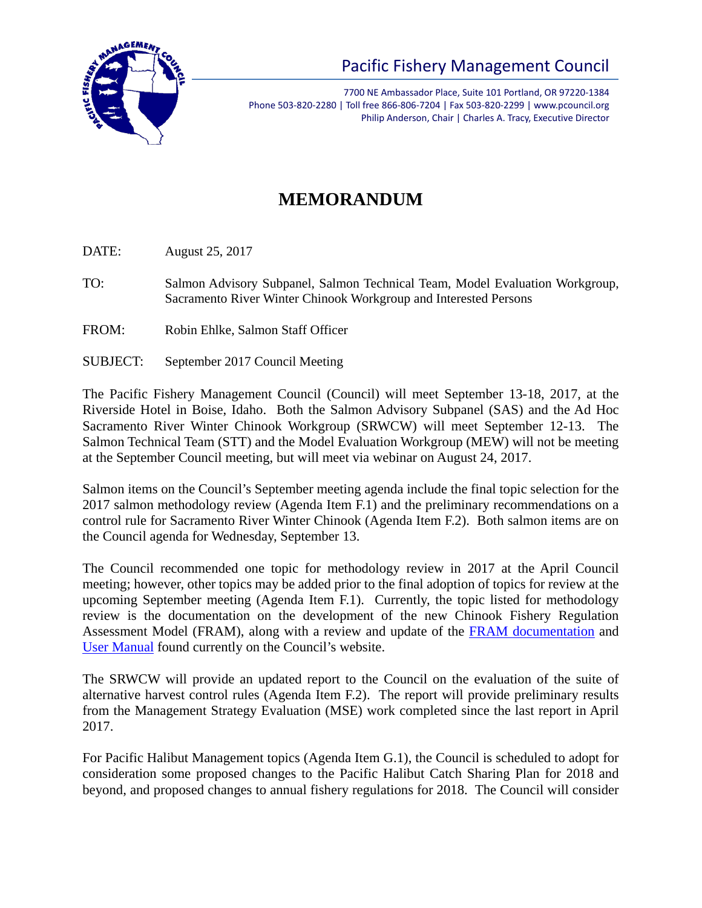

## Pacific Fishery Management Council

7700 NE Ambassador Place, Suite 101 Portland, OR 97220-1384 Phone 503-820-2280 | Toll free 866-806-7204 | Fax 503-820-2299 | www.pcouncil.org Philip Anderson, Chair | Charles A. Tracy, Executive Director

## **MEMORANDUM**

DATE: August 25, 2017

- TO: Salmon Advisory Subpanel, Salmon Technical Team, Model Evaluation Workgroup, Sacramento River Winter Chinook Workgroup and Interested Persons
- FROM: Robin Ehlke, Salmon Staff Officer
- SUBJECT: September 2017 Council Meeting

The Pacific Fishery Management Council (Council) will meet September 13-18, 2017, at the Riverside Hotel in Boise, Idaho. Both the Salmon Advisory Subpanel (SAS) and the Ad Hoc Sacramento River Winter Chinook Workgroup (SRWCW) will meet September 12-13. The Salmon Technical Team (STT) and the Model Evaluation Workgroup (MEW) will not be meeting at the September Council meeting, but will meet via webinar on August 24, 2017.

Salmon items on the Council's September meeting agenda include the final topic selection for the 2017 salmon methodology review (Agenda Item F.1) and the preliminary recommendations on a control rule for Sacramento River Winter Chinook (Agenda Item F.2). Both salmon items are on the Council agenda for Wednesday, September 13.

The Council recommended one topic for methodology review in 2017 at the April Council meeting; however, other topics may be added prior to the final adoption of topics for review at the upcoming September meeting (Agenda Item F.1). Currently, the topic listed for methodology review is the documentation on the development of the new Chinook Fishery Regulation Assessment Model (FRAM), along with a review and update of the [FRAM documentation](http://www.pcouncil.org/salmon/background/document-library/fishery-regulation-assessment-model-fram-documentation/) and [User Manual](http://www.pcouncil.org/wp-content/uploads/FRAM_User_Manual_Final_0907.pdf) found currently on the Council's website.

The SRWCW will provide an updated report to the Council on the evaluation of the suite of alternative harvest control rules (Agenda Item F.2). The report will provide preliminary results from the Management Strategy Evaluation (MSE) work completed since the last report in April 2017.

For Pacific Halibut Management topics (Agenda Item G.1), the Council is scheduled to adopt for consideration some proposed changes to the Pacific Halibut Catch Sharing Plan for 2018 and beyond, and proposed changes to annual fishery regulations for 2018. The Council will consider